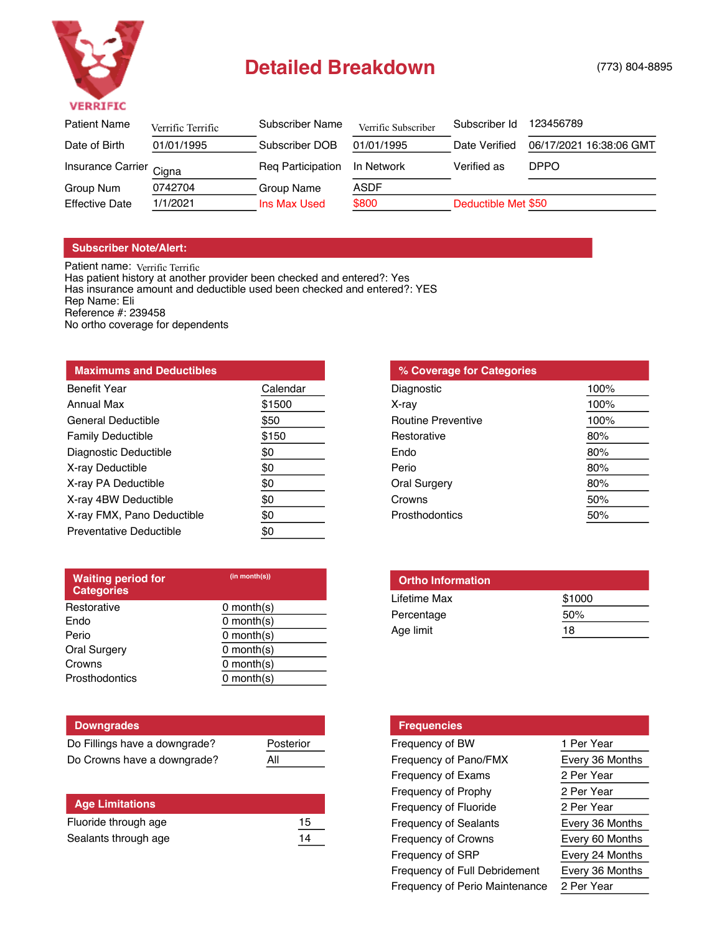

## Detailed Breakdown (773) 804-8895

| <b>Patient Name</b>     | Verrific Terrific | Subscriber Name   | Verrific Subscriber | Subscriber Id       | 123456789               |
|-------------------------|-------------------|-------------------|---------------------|---------------------|-------------------------|
| Date of Birth           | 01/01/1995        | Subscriber DOB    | 01/01/1995          | Date Verified       | 06/17/2021 16:38:06 GMT |
| Insurance Carrier Cigna |                   | Reg Participation | In Network          | Verified as         | <b>DPPO</b>             |
| Group Num               | 0742704           | Group Name        | ASDF                |                     |                         |
| <b>Effective Date</b>   | 1/1/2021          | Ins Max Used      | \$800               | Deductible Met \$50 |                         |

## **Subscriber Note/Alert:**

Patient name: Verrific Terr Has patient history at another provider been checked and entered?: Yes Has insurance amount and deductible used been checked and entered?: YES Rep Name: Eli Reference #: 239458 No ortho coverage for dependents Verrific Terrific

| <b>Maximums and Deductibles</b> |          |  |  |
|---------------------------------|----------|--|--|
| <b>Benefit Year</b>             | Calendar |  |  |
| Annual Max                      | \$1500   |  |  |
| General Deductible              | \$50     |  |  |
| <b>Family Deductible</b>        | \$150    |  |  |
| Diagnostic Deductible           | \$0      |  |  |
| X-ray Deductible                | \$0      |  |  |
| X-ray PA Deductible             | \$0      |  |  |
| X-ray 4BW Deductible            | \$0      |  |  |
| X-ray FMX, Pano Deductible      | \$0      |  |  |
| Preventative Deductible         | \$0      |  |  |

| % Coverage for Categories |      |
|---------------------------|------|
| Diagnostic                | 100% |
| X-ray                     | 100% |
| <b>Routine Preventive</b> | 100% |
| Restorative               | 80%  |
| Fndo                      | 80%  |
| Perio                     | 80%  |
| <b>Oral Surgery</b>       | 80%  |
| Crowns                    | 50%  |
| Prosthodontics            | 50%  |

| <b>Waiting period for</b><br><b>Categories</b> | (in month(s))   |  |
|------------------------------------------------|-----------------|--|
| Restorative                                    | $0$ month(s)    |  |
| Endo                                           | $0$ month $(s)$ |  |
| Perio                                          | $0$ month $(s)$ |  |
| <b>Oral Surgery</b>                            | $0$ month $(s)$ |  |
| Crowns                                         | $0$ month(s)    |  |
| Prosthodontics                                 | $0$ month $(s)$ |  |
|                                                |                 |  |

| <b>Downgrades</b>             |           |
|-------------------------------|-----------|
| Do Fillings have a downgrade? | Posterior |
| Do Crowns have a downgrade?   | Αll       |

| <b>Age Limitations</b> |    |
|------------------------|----|
| Fluoride through age   | 15 |
| Sealants through age   | 14 |

| <b>Ortho Information</b> |        |
|--------------------------|--------|
| Lifetime Max             | \$1000 |
| Percentage               | 50%    |
| Age limit                | 18     |

| <b>Frequencies</b>                    |                 |
|---------------------------------------|-----------------|
| Frequency of BW                       | 1 Per Year      |
| Frequency of Pano/FMX                 | Every 36 Months |
| Frequency of Exams                    | 2 Per Year      |
| Frequency of Prophy                   | 2 Per Year      |
| Frequency of Fluoride                 | 2 Per Year      |
| <b>Frequency of Sealants</b>          | Every 36 Months |
| Frequency of Crowns                   | Every 60 Months |
| Frequency of SRP                      | Every 24 Months |
| <b>Frequency of Full Debridement</b>  | Every 36 Months |
| <b>Frequency of Perio Maintenance</b> | 2 Per Year      |